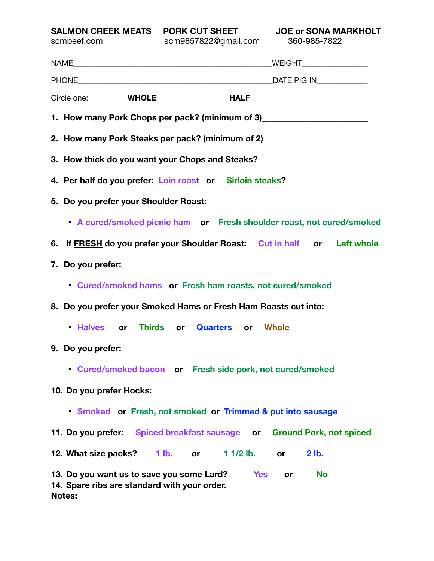**SALMON CREEK MEATS PORK CUT SHEET JOE or SONA MARKHOLT** 

| scm9857822@gmail.com 360-985-7822<br>scmbeef.com                                                                                            |
|---------------------------------------------------------------------------------------------------------------------------------------------|
|                                                                                                                                             |
|                                                                                                                                             |
| Circle one: WHOLE<br><b>HALF</b>                                                                                                            |
| 1. How many Pork Chops per pack? (minimum of 3)_________________________________                                                            |
| 2. How many Pork Steaks per pack? (minimum of 2)________________________________                                                            |
| 3. How thick do you want your Chops and Steaks?<br><u> </u>                                                                                 |
| 4. Per half do you prefer: Loin roast or Sirloin steaks?                                                                                    |
| 5. Do you prefer your Shoulder Roast:                                                                                                       |
| • A cured/smoked picnic ham or Fresh shoulder roast, not cured/smoked                                                                       |
| 6. If FRESH do you prefer your Shoulder Roast: Cut in half or Left whole                                                                    |
| 7. Do you prefer:                                                                                                                           |
| • Cured/smoked hams or Fresh ham roasts, not cured/smoked                                                                                   |
| 8. Do you prefer your Smoked Hams or Fresh Ham Roasts cut into:                                                                             |
| . Halves or Thirds or Quarters or Whole                                                                                                     |
| 9. Do you prefer:                                                                                                                           |
| • Cured/smoked bacon or Fresh side pork, not cured/smoked                                                                                   |
| 10. Do you prefer Hocks:                                                                                                                    |
| • Smoked or Fresh, not smoked or Trimmed & put into sausage                                                                                 |
| 11. Do you prefer: Spiced breakfast sausage or<br><b>Ground Pork, not spiced</b>                                                            |
| $11/2$ lb.<br>2 lb.<br>12. What size packs?<br>$1$ lb.<br>or.<br><b>or</b>                                                                  |
| 13. Do you want us to save you some Lard?<br><b>Yes</b><br><b>No</b><br>or<br>14. Spare ribs are standard with your order.<br><b>Notes:</b> |